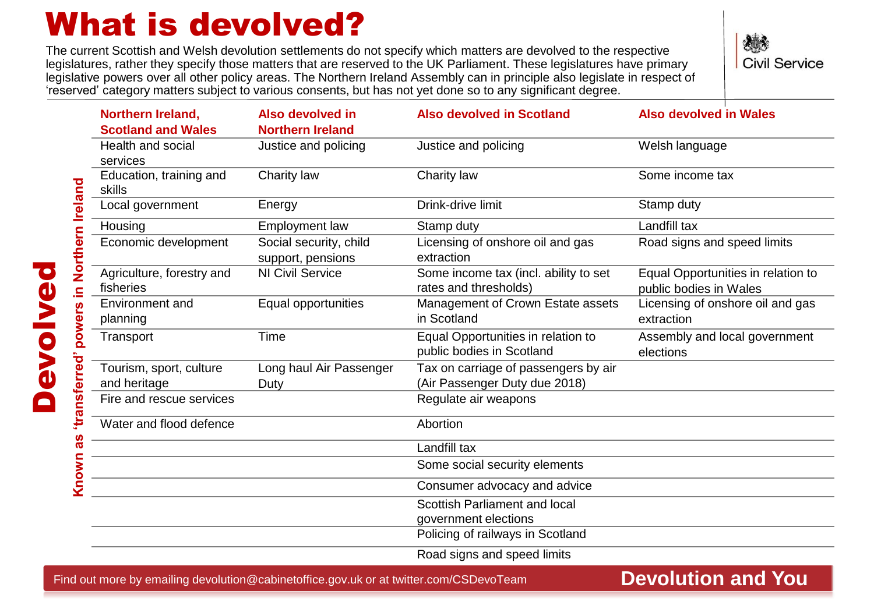## What is devolved?

The current Scottish and Welsh devolution settlements do not specify which matters are devolved to the respective legislatures, rather they specify those matters that are reserved to the UK Parliament. These legislatures have primary legislative powers over all other policy areas. The Northern Ireland Assembly can in principle also legislate in respect of 'reserved' category matters subject to various consents, but has not yet done so to any significant degree.

**Civil Service** 

| <b>Northern Ireland,</b>                | Also devolved in                            | <b>Also devolved in Scotland</b>                                      | <b>Also devolved in Wales</b>                                |
|-----------------------------------------|---------------------------------------------|-----------------------------------------------------------------------|--------------------------------------------------------------|
| <b>Scotland and Wales</b>               | <b>Northern Ireland</b>                     |                                                                       |                                                              |
| Health and social<br>services           | Justice and policing                        | Justice and policing                                                  | Welsh language                                               |
| Education, training and<br>skills       | Charity law                                 | Charity law                                                           | Some income tax                                              |
| Local government                        | Energy                                      | Drink-drive limit                                                     | Stamp duty                                                   |
| Housing                                 | <b>Employment law</b>                       | Stamp duty                                                            | Landfill tax                                                 |
| Economic development                    | Social security, child<br>support, pensions | Licensing of onshore oil and gas<br>extraction                        | Road signs and speed limits                                  |
| Agriculture, forestry and<br>fisheries  | <b>NI Civil Service</b>                     | Some income tax (incl. ability to set<br>rates and thresholds)        | Equal Opportunities in relation to<br>public bodies in Wales |
| Environment and<br>planning             | Equal opportunities                         | Management of Crown Estate assets<br>in Scotland                      | Licensing of onshore oil and gas<br>extraction               |
| Transport                               | Time                                        | Equal Opportunities in relation to<br>public bodies in Scotland       | Assembly and local government<br>elections                   |
| Tourism, sport, culture<br>and heritage | Long haul Air Passenger<br>Duty             | Tax on carriage of passengers by air<br>(Air Passenger Duty due 2018) |                                                              |
| Fire and rescue services                |                                             | Regulate air weapons                                                  |                                                              |
| Water and flood defence                 |                                             | Abortion                                                              |                                                              |
|                                         |                                             | Landfill tax                                                          |                                                              |
|                                         |                                             | Some social security elements                                         |                                                              |
|                                         |                                             | Consumer advocacy and advice                                          |                                                              |
|                                         |                                             | Scottish Parliament and local                                         |                                                              |
|                                         |                                             | government elections<br>Policing of railways in Scotland              |                                                              |
|                                         |                                             |                                                                       |                                                              |

Road signs and speed limits

Find out more by emailing devolution@cabinetoffice.gov.uk or at twitter.com/CSDevoTeam

### **Devolution and You**